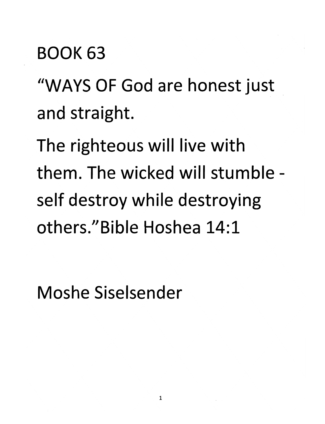#### *BOOK 63*

*"WAYS OF God are honest just and straight.*

*The righteous will live with them. The wicked will stumble self destroy while destroying others."Bible Hoshea 14:1*

*Moshe Siselsender*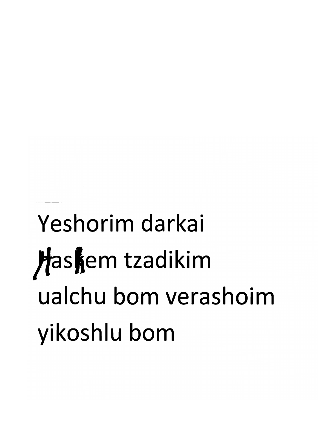#### *Yeshorim darkai Jfas|em tzadikim ualchu bom verashoim yikoshlu bom*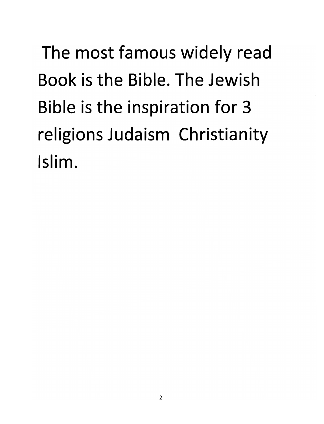*The most famous widely read Book is the Bible. The Jewish Bible is the inspiration for 3 religions Judaism Christianity Islim.*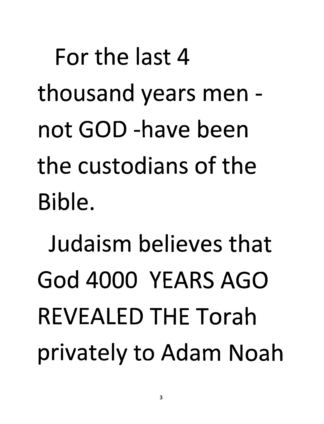*For the last 4 thousand years men not GOD -have been the custodians of the Bible.*

*Judaism believes that God 4000 YEARS AGO REVEALED THE Torah privately to Adam Noah*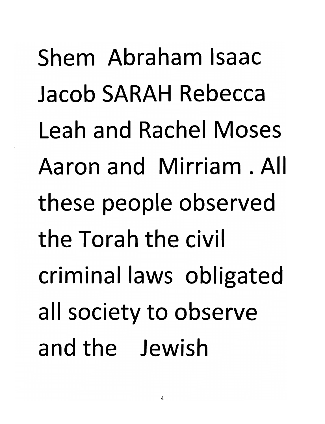*Shem Abraham Isaac Jacob SARAH Rebecca Leah and Rachel Moses Aaron and Mirriam . All these people observed the Torah the civil criminal laws obligated all society to observe and the Jewish*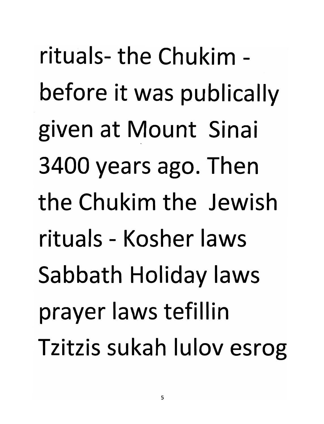*rituals-the Chukim before it was publically given at Mount Sinai 3400 years ago. Then the Chukim the Jewish rituals - Kosher laws Sabbath Holiday laws prayer laws tefillin Tzitzis sukah lulov esrog*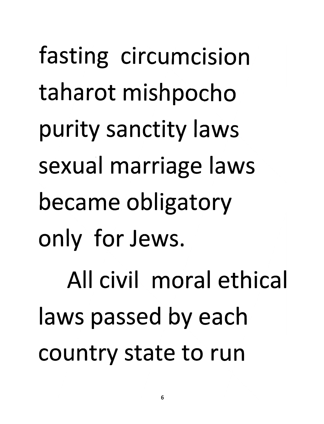*fasting circumcision taharot mishpocho purity sanctity laws sexual marriage laws became obligatory only for Jews. All civil moral ethica laws passed by each country state to run*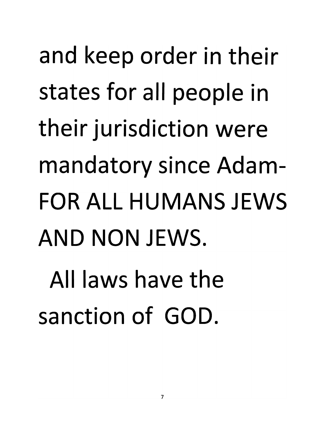*and keep order in their states for all people in their jurisdiction were mandatory since Adam-FOR ALL HUMANS JEWS AND NON JEWS.*

*All laws have the sanction of GOD.*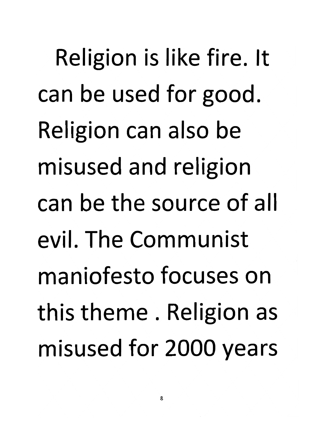Religion is like fire. It can be used for good. Religion can also be misused and religion can be the source of all evil. The Communist maniofesto focuses on this theme . Religion as misused for 2000 years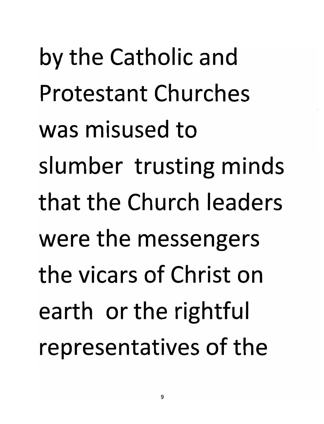by the Catholic and Protestant Churches was misused to slumber trusting minds that the Church leaders were the messengers the vicars of Christ on earth or the rightful representatives of the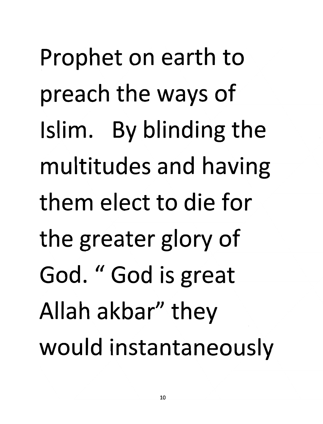Prophet on earth to preach the ways of Islim. By blinding the multitudes and having them elect to die for the greater glory of God. " God is great Allah akbar" they would instantaneously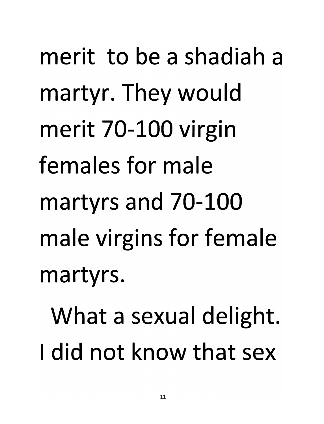merit to be a shadiah a martyr. They would merit 70-100 virgin females for male martyrs and 70-100 male virgins for female martyrs.

What a sexual delight. <sup>I</sup> did not know that sex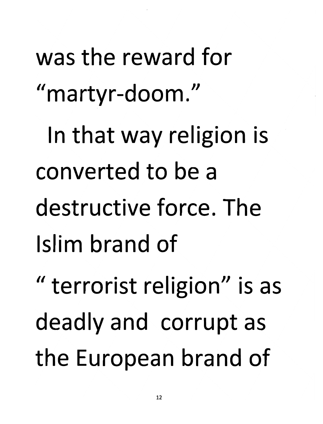was the reward for "martyr-doom." In that way religion is converted to be a destructive force. The Islim brand of " terrorist religion" is as deadly and corrupt as the European brand of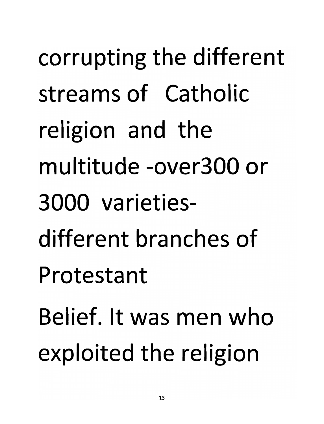corrupting the different streams of Catholic religion and the multitude -over300 or 3000 varietiesdifferent branches of Protestant Belief. It was men who

exploited the religion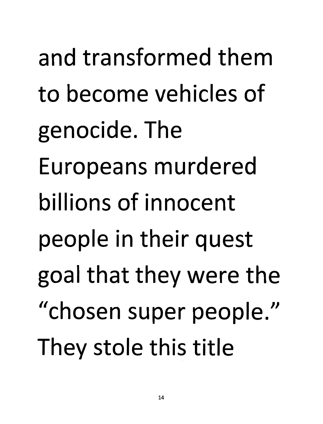and transformed them to become vehicles of genocide. The Europeans murdered billions of innocent people in their quest goal that they were the "chosen super people." They stole this title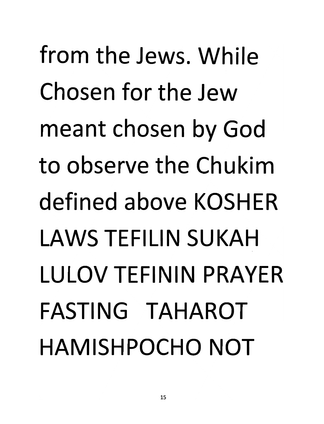*from the Jews. While Chosen for the Jew meant chosen by God to observe the Chukim defined above KOSHER LAWS TEFILIN SUKAH LULOV TEFININ PRAYER FASTING TAHAROT HAMISHPOCHO NOT*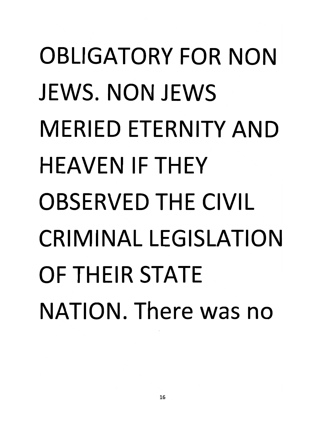# *OBLIGATORY FOR NON JEWS. NON JEWS MERIED ETERNITY AND HEAVEN IF THEY OBSERVED THE CIVIL CRIMINAL LEGISLATION OF THEIR STATE NATION. There was no*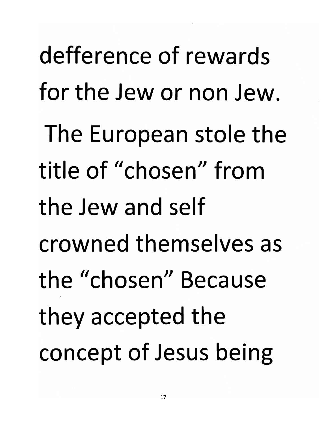defference of rewards for the Jew or non Jew. The European stole the title of "chosen" from the Jew and self crowned themselves as the "chosen" Because they accepted the concept of Jesus being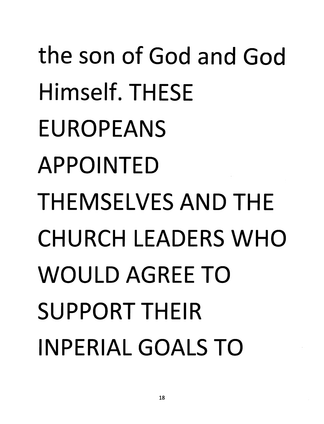# *the son of God and God Himself. THESE EUROPEANS APPOINTED THEMSELVES AND THE CHURCH LEADERS WHO WOULD AGREE TO SUPPORT THEIR INPERIAL GOALS TO*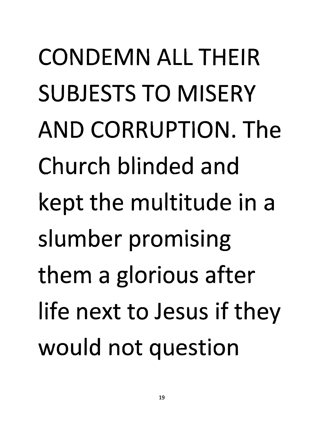*CONDEMN ALL THEIR SUBJESTS TO MISERY AND CORRUPTION. The Church blinded and kept the multitude in a slumber promising them a glorious after life next to Jesus if they would not question*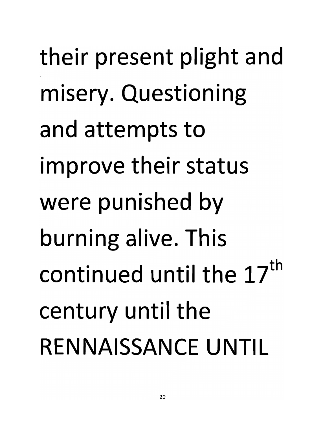their present plight and misery. Questioning and attempts to improve their status were punished by burning alive. This continued until the 17 century until the RENNAISSANCE UNTIL *th*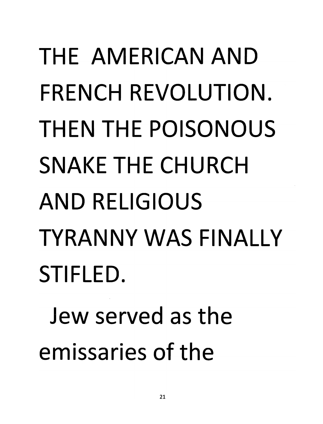## *THE AMERICAN AND FRENCH REVOLUTION. THEN THE POISONOUS SNAKE THE CHURCH AND RELIGIOUS TYRANNY WAS FINALLY STIFLED.*

*Jew served as the emissaries of the*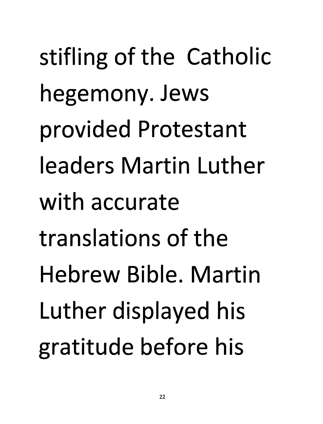stifling of the Catholic hegemony. Jews provided Protestant leaders Martin Luther with accurate translations of the Hebrew Bible. Martin Luther displayed his gratitude before his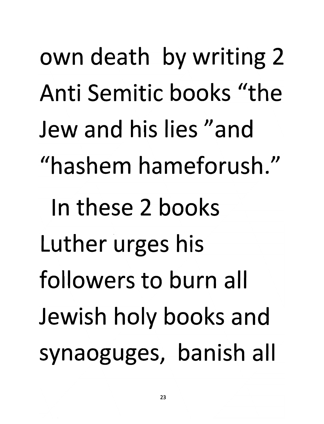*own death by writing 2 Anti Semitic books "the Jew and his lies "and "hashem hameforush." In these 2 books Luther urges his followers to burn all Jewish holy books and synaoguges, banish all*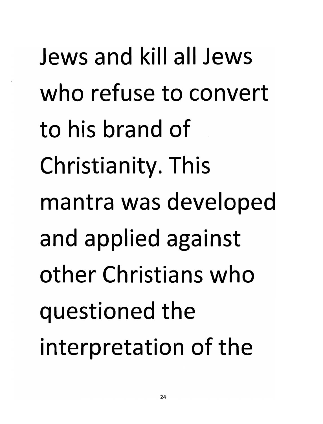Jews and kill all Jews who refuse to convert to his brand of Christianity. This mantra was developed and applied against other Christians who questioned the interpretation of the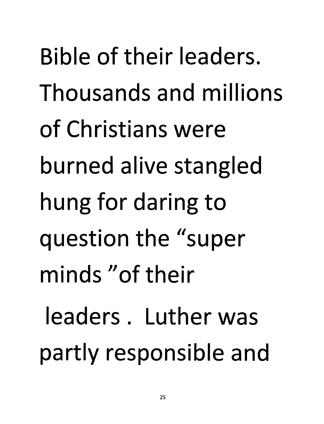Bible of their leaders. Thousands and millions of Christians were burned alive stangled hung for daring to question the "super minds "of their leaders. Luther was partly responsible and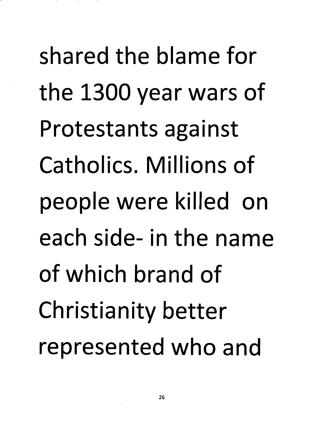shared the blame for the 1300 year wars of Protestants against Catholics. Millions of people were killed on each side- in the name of which brand of Christianity better represented who and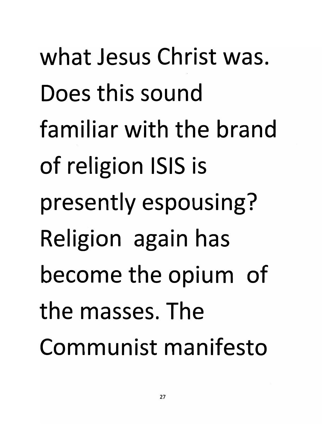*what Jesus Christ was. Does this sound familiar with the brand of religion ISIS is presently espousing? Religion again has become the opium of the masses. The Communist manifesto*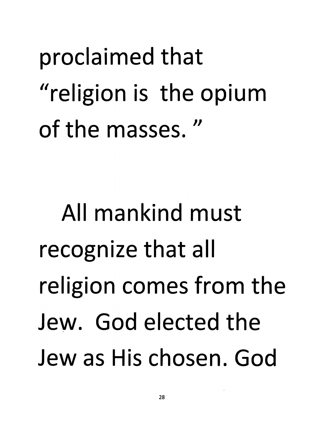proclaimed that "religion is the opium of the masses. *//*

All mankind must recognize that all religion comes from the Jew. God elected the Jew as His chosen. God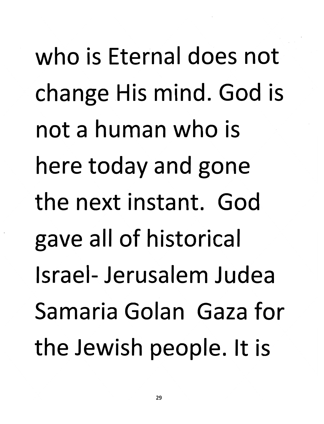*who is Eternal does not change His mind. God is not a human who is here today and gone the next instant. God gave all of historical Israel- Jerusalem Judea Samaria Golan Gaza for the Jewish people. It is*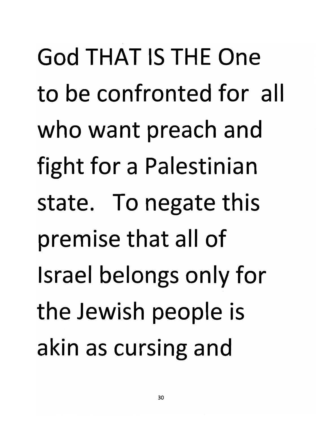God THAT IS THE One to be confronted for all who want preach and fight for a Palestinian state. To negate this premise that all of Israel belongs only for the Jewish people is akin as cursing and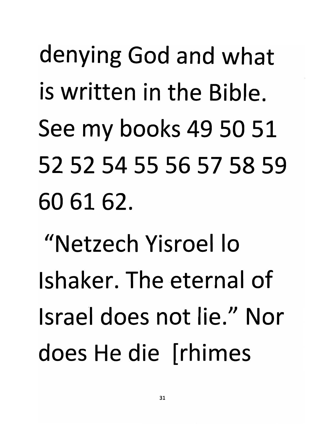## denying God and what is written in the Bible. See my books 49 50 51 52 52 54 55 56 57 58 59 60 61 62.

"Netzech Yisroel lo Ishaker. The eternal of Israel does not lie." Nor does He die [rhimes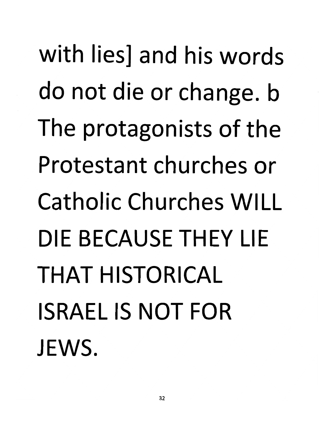*with lies] and his words do not die or change, b The protagonists of the Protestant churches or Catholic Churches WILL DIE BECAUSE THEY LIE THAT HISTORICAL ISRAEL IS NOT FOR JEWS.*